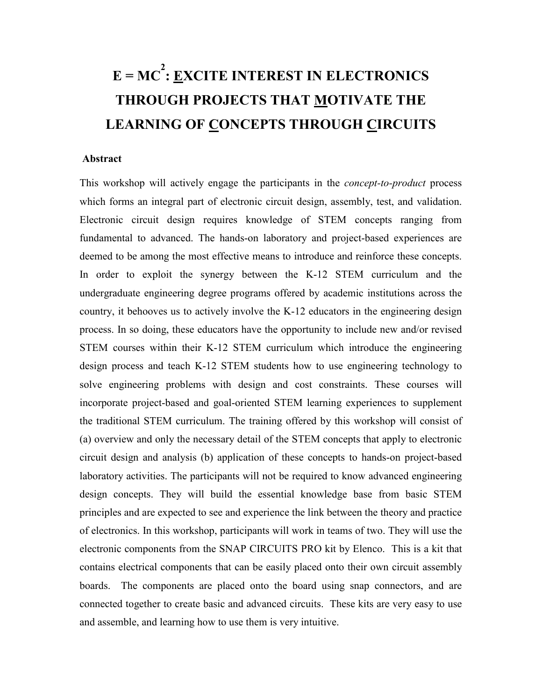## **E = MC 2 : EXCITE INTEREST IN ELECTRONICS THROUGH PROJECTS THAT MOTIVATE THE LEARNING OF CONCEPTS THROUGH CIRCUITS**

## **Abstract**

This workshop will actively engage the participants in the *concept-to-product* process which forms an integral part of electronic circuit design, assembly, test, and validation. Electronic circuit design requires knowledge of STEM concepts ranging from fundamental to advanced. The hands-on laboratory and project-based experiences are deemed to be among the most effective means to introduce and reinforce these concepts. In order to exploit the synergy between the K-12 STEM curriculum and the undergraduate engineering degree programs offered by academic institutions across the country, it behooves us to actively involve the K-12 educators in the engineering design process. In so doing, these educators have the opportunity to include new and/or revised STEM courses within their K-12 STEM curriculum which introduce the engineering design process and teach K-12 STEM students how to use engineering technology to solve engineering problems with design and cost constraints. These courses will incorporate project-based and goal-oriented STEM learning experiences to supplement the traditional STEM curriculum. The training offered by this workshop will consist of (a) overview and only the necessary detail of the STEM concepts that apply to electronic circuit design and analysis (b) application of these concepts to hands-on project-based laboratory activities. The participants will not be required to know advanced engineering design concepts. They will build the essential knowledge base from basic STEM principles and are expected to see and experience the link between the theory and practice of electronics. In this workshop, participants will work in teams of two. They will use the electronic components from the SNAP CIRCUITS PRO kit by Elenco. This is a kit that contains electrical components that can be easily placed onto their own circuit assembly boards. The components are placed onto the board using snap connectors, and are connected together to create basic and advanced circuits. These kits are very easy to use and assemble, and learning how to use them is very intuitive.